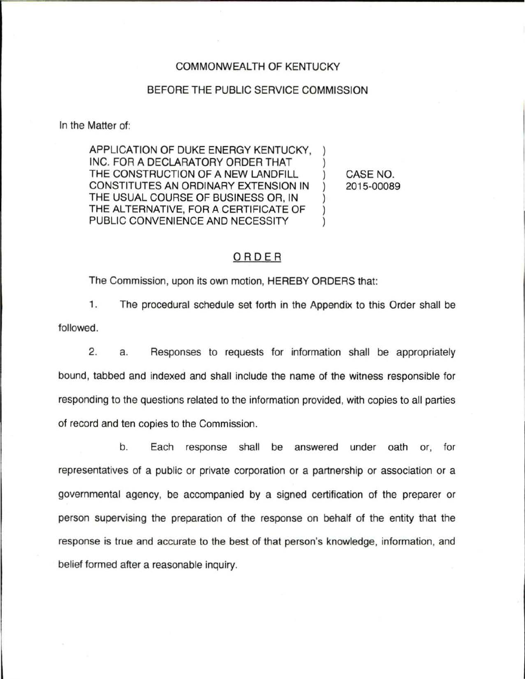#### COMMONWEALTH OF KENTUCKY

### BEFORE THE PUBLIC SERVICE COMMISSION

In the Matter of:

APPLICATION OF DUKE ENERGY KENTUCKY, INC. FOR A DECLARATORY ORDER THAT THE CONSTRUCTION OF A NEW LANDFILL CONSTITUTES AN ORDINARY EXTENSION IN THE USUAL COURSE OF BUSINESS OR, IN THE ALTERNATIVE, FOR A CERTIFICATE OF PUBLIC CONVENIENCE AND NECESSITY

CASE NO. 2015-00089

## ORDER

The Commission, upon its own motion, HEREBY ORDERS that:

1. The procedural schedule set forth in the Appendix to this Order shall be followed.

2. a. Responses to requests for information shall be appropriately bound, tabbed and indexed and shall include the name of the witness responsible for responding to the questions related to the information provided, with copies to all parties of record and ten copies to the Commission.

b. Each response shall be answered under oath or, for representatives of a public or private corporation or a partnership or association or a governmental agency, be accompanied by a signed certification of the preparer or person supervising the preparation of the response on behalf of the entity that the response is true and accurate to the best of that person's knowledge, information, and belief formed after a reasonable inquiry.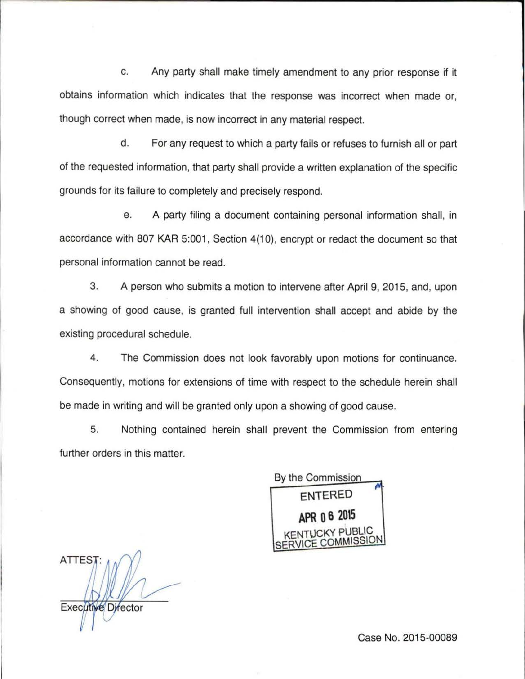c. Any party shall make timely amendment to any prior response if it obtains information which indicates that the response was incorrect when made or, though correct when made, is now incorrect in any material respect.

d. For any request to which a party fails or refuses to furnish all or part of the requested information, that party shall provide a written explanation of the specific grounds for its failure to completely and precisely respond.

e. A party filing a document containing personal information shall, in accordance with 807 KAR 5:001, Section 4(10), encrypt or redact the document so that personal information cannot be read.

3. A person who submits a motion to intervene after April 9, 2015, and, upon a showing of good cause, is granted full intervention shall accept and abide by the existing procedural schedule.

4. The Commission does not look favorably upon motions for continuance. Consequently, motions for extensions of time with respect to the schedule herein shall be made in writing and will be granted only upon a showing of good cause.

5. Nothing contained herein shall prevent the Commission from entering further orders in this matter.

By the Commission **ENTERED**   $\mathbf{r}$ **APR o 6 2015**  CKY PUBLIC SERVICE COMMISSION

**ATTEST** Executive Director

Case No. 2015-00089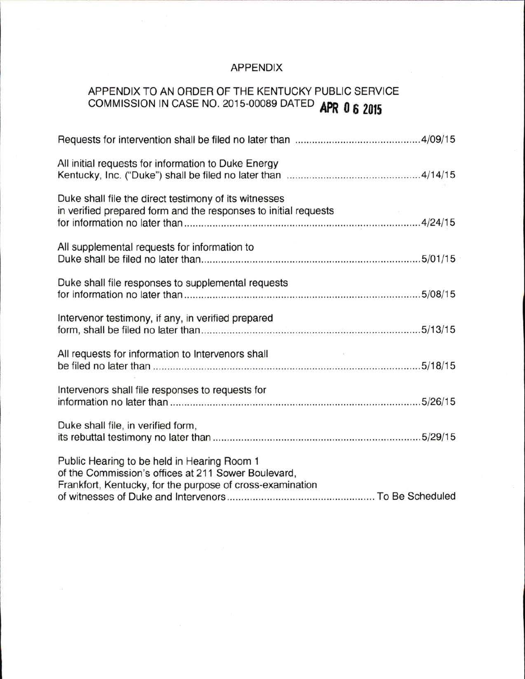# APPENDIX

# APPENDIX TO AN ORDER OF THE KENTUCKY PUBLIC SERVICE COMMISSION IN CASE NO. 2015-00089 DATED **APR Q 6 <sup>2015</sup>**

| All initial requests for information to Duke Energy                                                                                                             |
|-----------------------------------------------------------------------------------------------------------------------------------------------------------------|
| Duke shall file the direct testimony of its witnesses<br>in verified prepared form and the responses to initial requests                                        |
| All supplemental requests for information to                                                                                                                    |
| Duke shall file responses to supplemental requests                                                                                                              |
| Intervenor testimony, if any, in verified prepared                                                                                                              |
| All requests for information to Intervenors shall                                                                                                               |
| Intervenors shall file responses to requests for                                                                                                                |
| Duke shall file, in verified form,                                                                                                                              |
| Public Hearing to be held in Hearing Room 1<br>of the Commission's offices at 211 Sower Boulevard,<br>Frankfort, Kentucky, for the purpose of cross-examination |